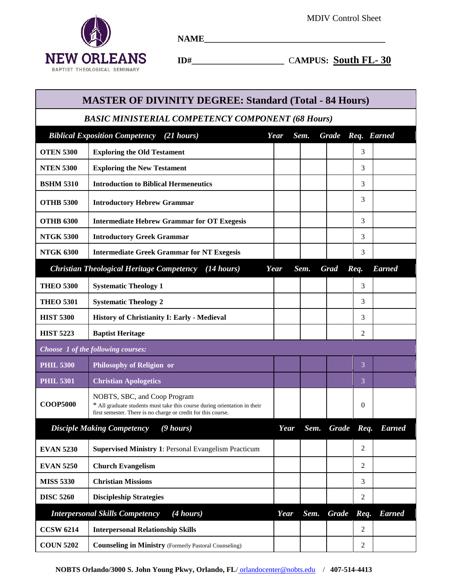$\sim$ 



**NAME\_\_\_\_\_\_\_\_\_\_\_\_\_\_\_\_\_\_\_\_\_\_\_\_\_\_\_\_\_\_\_\_\_\_\_\_\_\_\_\_\_**

 **ID#\_\_\_\_\_\_\_\_\_\_\_\_\_\_\_\_\_\_\_\_\_** C**AMPUS: South FL- 30**

| <b>MASTER OF DIVINITY DEGREE: Standard (Total - 84 Hours)</b> |                                                                                                                                                                            |      |      |      |              |      |               |  |  |  |
|---------------------------------------------------------------|----------------------------------------------------------------------------------------------------------------------------------------------------------------------------|------|------|------|--------------|------|---------------|--|--|--|
| <b>BASIC MINISTERIAL COMPETENCY COMPONENT (68 Hours)</b>      |                                                                                                                                                                            |      |      |      |              |      |               |  |  |  |
|                                                               | <b>Biblical Exposition Competency</b><br>$(21 \; hours)$                                                                                                                   | Year | Sem. |      | <b>Grade</b> |      | Req. Earned   |  |  |  |
| <b>OTEN 5300</b>                                              | <b>Exploring the Old Testament</b>                                                                                                                                         |      |      |      |              | 3    |               |  |  |  |
| <b>NTEN 5300</b>                                              | <b>Exploring the New Testament</b>                                                                                                                                         |      |      |      |              | 3    |               |  |  |  |
| <b>BSHM 5310</b>                                              | <b>Introduction to Biblical Hermeneutics</b>                                                                                                                               |      |      |      |              | 3    |               |  |  |  |
| <b>OTHB 5300</b>                                              | <b>Introductory Hebrew Grammar</b>                                                                                                                                         |      |      |      |              | 3    |               |  |  |  |
| <b>OTHB 6300</b>                                              | <b>Intermediate Hebrew Grammar for OT Exegesis</b>                                                                                                                         |      |      |      |              | 3    |               |  |  |  |
| <b>NTGK 5300</b>                                              | <b>Introductory Greek Grammar</b>                                                                                                                                          |      |      |      |              | 3    |               |  |  |  |
| <b>NTGK 6300</b>                                              | <b>Intermediate Greek Grammar for NT Exegesis</b>                                                                                                                          |      |      |      |              | 3    |               |  |  |  |
|                                                               | <b>Christian Theological Heritage Competency</b> (14 hours)                                                                                                                | Year | Sem. |      | <b>Grad</b>  | Req. | <b>Earned</b> |  |  |  |
| <b>THEO 5300</b>                                              | <b>Systematic Theology 1</b>                                                                                                                                               |      |      |      |              | 3    |               |  |  |  |
| <b>THEO 5301</b>                                              | <b>Systematic Theology 2</b>                                                                                                                                               |      |      |      |              | 3    |               |  |  |  |
| <b>HIST 5300</b>                                              | History of Christianity I: Early - Medieval                                                                                                                                |      |      |      |              | 3    |               |  |  |  |
| <b>HIST 5223</b>                                              | <b>Baptist Heritage</b>                                                                                                                                                    |      |      |      |              | 2    |               |  |  |  |
| Choose 1 of the following courses:                            |                                                                                                                                                                            |      |      |      |              |      |               |  |  |  |
|                                                               |                                                                                                                                                                            |      |      |      |              |      |               |  |  |  |
| <b>PHIL 5300</b>                                              | <b>Philosophy of Religion or</b>                                                                                                                                           |      |      |      |              | 3    |               |  |  |  |
| <b>PHIL 5301</b>                                              | <b>Christian Apologetics</b>                                                                                                                                               |      |      |      |              | 3    |               |  |  |  |
| <b>COOP5000</b>                                               | NOBTS, SBC, and Coop Program<br>* All graduate students must take this course during orientation in their<br>first semester. There is no charge or credit for this course. |      |      |      |              | 0    |               |  |  |  |
|                                                               | <b>Disciple Making Competency</b><br>$(9 \text{ hours})$                                                                                                                   | Year |      | Sem. | <b>Grade</b> | Req. | <b>Earned</b> |  |  |  |
| <b>EVAN 5230</b>                                              | <b>Supervised Ministry 1: Personal Evangelism Practicum</b>                                                                                                                |      |      |      |              | 2    |               |  |  |  |
| <b>EVAN 5250</b>                                              | <b>Church Evangelism</b>                                                                                                                                                   |      |      |      |              | 2    |               |  |  |  |
| <b>MISS 5330</b>                                              | <b>Christian Missions</b>                                                                                                                                                  |      |      |      |              | 3    |               |  |  |  |
| <b>DISC 5260</b>                                              | <b>Discipleship Strategies</b>                                                                                                                                             |      |      |      |              | 2    |               |  |  |  |
|                                                               | <b>Interpersonal Skills Competency</b><br>(4 hours)                                                                                                                        | Year | Sem. |      | <b>Grade</b> | Req. | <b>Earned</b> |  |  |  |
| <b>CCSW 6214</b>                                              | <b>Interpersonal Relationship Skills</b>                                                                                                                                   |      |      |      |              | 2    |               |  |  |  |